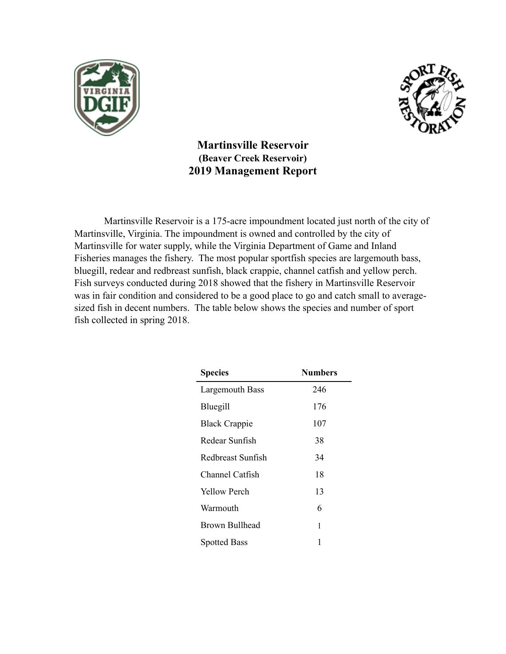



**Martinsville Reservoir (Beaver Creek Reservoir) 2019 Management Report** 

 Martinsville Reservoir is a 175-acre impoundment located just north of the city of Martinsville, Virginia. The impoundment is owned and controlled by the city of Martinsville for water supply, while the Virginia Department of Game and Inland Fisheries manages the fishery. The most popular sportfish species are largemouth bass, bluegill, redear and redbreast sunfish, black crappie, channel catfish and yellow perch. Fish surveys conducted during 2018 showed that the fishery in Martinsville Reservoir was in fair condition and considered to be a good place to go and catch small to averagesized fish in decent numbers. The table below shows the species and number of sport fish collected in spring 2018.

| <b>Species</b>         | <b>Numbers</b> |
|------------------------|----------------|
| Largemouth Bass        | 246            |
| Bluegill               | 176            |
| <b>Black Crappie</b>   | 107            |
| Redear Sunfish         | 38             |
| Redbreast Sunfish      | 34             |
| <b>Channel Catfish</b> | 18             |
| <b>Yellow Perch</b>    | 13             |
| Warmouth               | 6              |
| Brown Bullhead         | 1              |
| <b>Spotted Bass</b>    | 1              |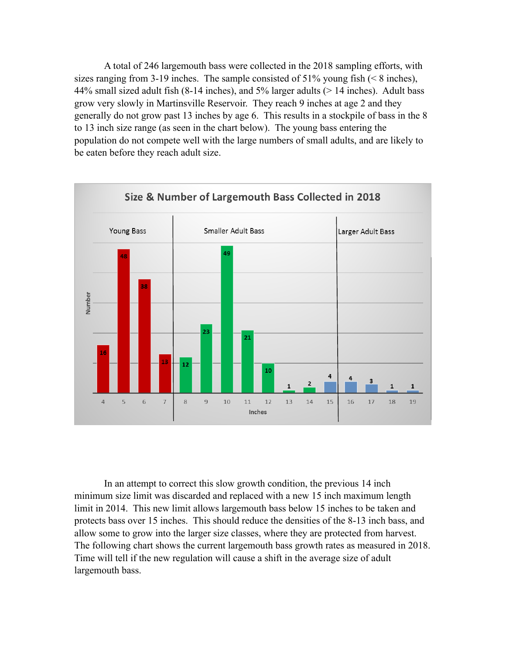A total of 246 largemouth bass were collected in the 2018 sampling efforts, with sizes ranging from 3-19 inches. The sample consisted of  $51\%$  young fish (< 8 inches), 44% small sized adult fish (8-14 inches), and 5% larger adults (> 14 inches). Adult bass grow very slowly in Martinsville Reservoir. They reach 9 inches at age 2 and they generally do not grow past 13 inches by age 6. This results in a stockpile of bass in the 8 to 13 inch size range (as seen in the chart below). The young bass entering the population do not compete well with the large numbers of small adults, and are likely to be eaten before they reach adult size.



 In an attempt to correct this slow growth condition, the previous 14 inch minimum size limit was discarded and replaced with a new 15 inch maximum length limit in 2014. This new limit allows largemouth bass below 15 inches to be taken and protects bass over 15 inches. This should reduce the densities of the 8-13 inch bass, and allow some to grow into the larger size classes, where they are protected from harvest. The following chart shows the current largemouth bass growth rates as measured in 2018. Time will tell if the new regulation will cause a shift in the average size of adult largemouth bass.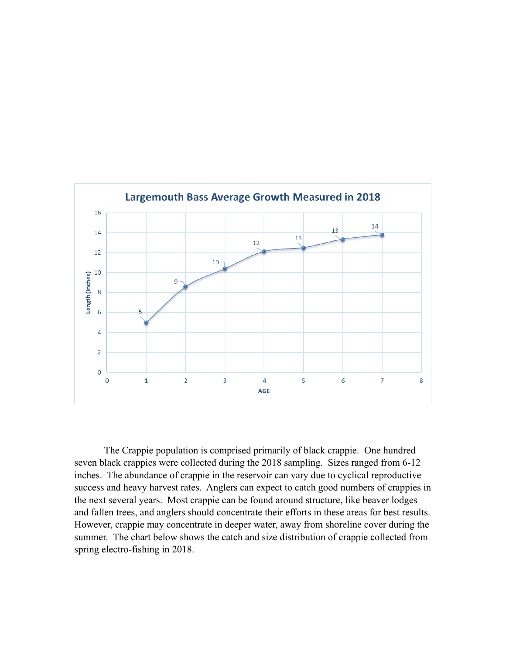

The Crappie population is comprised primarily of black crappie. One hundred seven black crappies were collected during the 2018 sampling. Sizes ranged from 6-12 inches. The abundance of crappie in the reservoir can vary due to cyclical reproductive success and heavy harvest rates. Anglers can expect to catch good numbers of crappies in the next several years. Most crappie can be found around structure, like beaver lodges and fallen trees, and anglers should concentrate their efforts in these areas for best results. However, crappie may concentrate in deeper water, away from shoreline cover during the summer. The chart below shows the catch and size distribution of crappie collected from spring electro-fishing in 2018.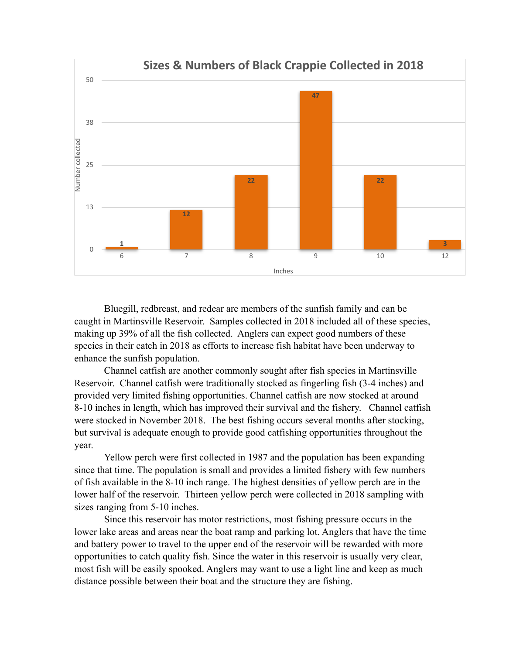

Bluegill, redbreast, and redear are members of the sunfish family and can be caught in Martinsville Reservoir. Samples collected in 2018 included all of these species, making up 39% of all the fish collected. Anglers can expect good numbers of these species in their catch in 2018 as efforts to increase fish habitat have been underway to enhance the sunfish population.

 Channel catfish are another commonly sought after fish species in Martinsville Reservoir. Channel catfish were traditionally stocked as fingerling fish (3-4 inches) and provided very limited fishing opportunities. Channel catfish are now stocked at around 8-10 inches in length, which has improved their survival and the fishery. Channel catfish were stocked in November 2018. The best fishing occurs several months after stocking, but survival is adequate enough to provide good catfishing opportunities throughout the year.

 Yellow perch were first collected in 1987 and the population has been expanding since that time. The population is small and provides a limited fishery with few numbers of fish available in the 8-10 inch range. The highest densities of yellow perch are in the lower half of the reservoir. Thirteen yellow perch were collected in 2018 sampling with sizes ranging from 5-10 inches.

 Since this reservoir has motor restrictions, most fishing pressure occurs in the lower lake areas and areas near the boat ramp and parking lot. Anglers that have the time and battery power to travel to the upper end of the reservoir will be rewarded with more opportunities to catch quality fish. Since the water in this reservoir is usually very clear, most fish will be easily spooked. Anglers may want to use a light line and keep as much distance possible between their boat and the structure they are fishing.